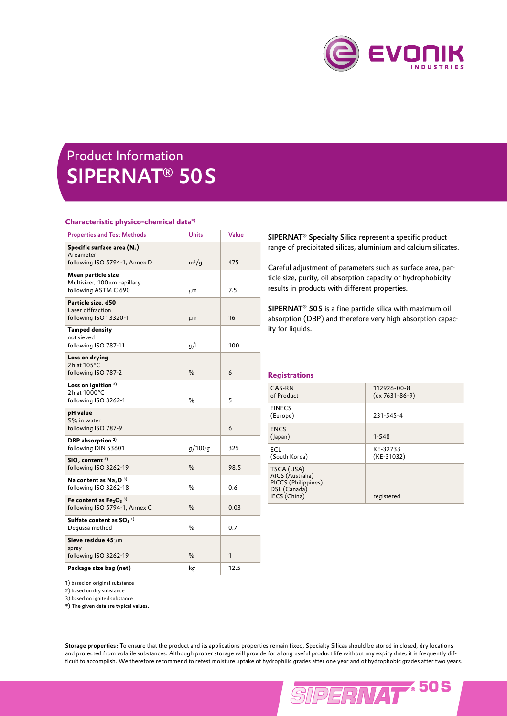

## Product Information SIPERNAT® 50 S

## **Characteristic physico-chemical data\*)**

| <b>Properties and Test Methods</b>                                          | <b>Units</b> | Value |
|-----------------------------------------------------------------------------|--------------|-------|
| Specific surface area $(N_2)$<br>Areameter<br>following ISO 5794-1, Annex D | $m^2/g$      | 475   |
| Mean particle size<br>Multisizer, 100um capillary<br>following ASTM C 690   | μm           | 7.5   |
| Particle size, d50<br>Laser diffraction<br>following ISO 13320-1            | μm           | 16    |
| <b>Tamped density</b><br>not sieved<br>following ISO 787-11                 | g/l          | 100   |
| Loss on drying<br>$2h$ at $105^{\circ}$ C<br>following ISO 787-2            | ℅            | 6     |
| Loss on ignition <sup>2)</sup><br>2h at 1000°C<br>following ISO 3262-1      | %            | 5     |
| pH value<br>5% in water<br>following ISO 787-9                              |              | 6     |
| DBP absorption <sup>2)</sup><br>following DIN 53601                         | g/100 g      | 325   |
| $SiO2$ content $3)$<br>following ISO 3262-19                                | %            | 98.5  |
| Na content as $Na2O3$<br>following ISO 3262-18                              | %            | 0.6   |
| Fe content as $Fe2O3$ <sup>3)</sup><br>following ISO 5794-1, Annex C        | %            | 0.03  |
| Sulfate content as $SO3$ <sup>1)</sup><br>Degussa method                    | %            | 0.7   |
| Sieve residue 45 $\mu$ m<br>spray<br>following ISO 3262-19                  | ℅            | 1     |
| Package size bag (net)                                                      | kg           | 12.5  |

SIPERNAT® Specialty Silica represent a specific product range of precipitated silicas, aluminium and calcium silicates.

Careful adjustment of parameters such as surface area, particle size, purity, oil absorption capacity or hydrophobicity results in products with different properties.

SIPERNAT<sup>®</sup> 50S is a fine particle silica with maximum oil absorption (DBP) and therefore very high absorption capacity for liquids.

## **Registrations**

| CAS-RN<br>of Product                                                                  | 112926-00-8<br>$(ex 7631-86-9)$ |
|---------------------------------------------------------------------------------------|---------------------------------|
| <b>EINECS</b><br>(Europe)                                                             | 231-545-4                       |
| <b>ENCS</b><br>(lapan)                                                                | $1 - 548$                       |
| <b>FCI</b><br>(South Korea)                                                           | KE-32733<br>(KE-31032)          |
| TSCA (USA)<br>AICS (Australia)<br>PICCS (Philippines)<br>DSL (Canada)<br>IECS (China) | registered                      |

1) based on original substance

2) based on dry substance

3) based on ignited substance

\*) The given data are typical values.

Storage properties: To ensure that the product and its applications properties remain fixed, Specialty Silicas should be stored in closed, dry locations and protected from volatile substances. Although proper storage will provide for a long useful product life without any expiry date, it is frequently difficult to accomplish. We therefore recommend to retest moisture uptake of hydrophilic grades after one year and of hydrophobic grades after two years.